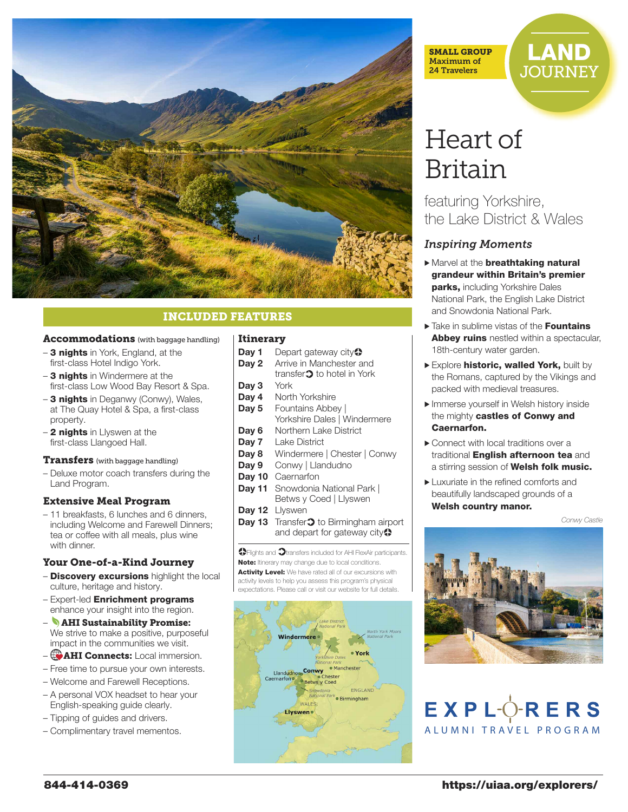

# INCLUDED FEATURES

#### Accommodations (with baggage handling)

- 3 nights in York, England, at the first-class Hotel Indigo York.
- 3 nights in Windermere at the first-class Low Wood Bay Resort & Spa.
- 3 nights in Deganwy (Conwy), Wales, at The Quay Hotel & Spa, a first-class property.
- 2 nights in Llyswen at the first-class Llangoed Hall.

#### **Transfers** (with baggage handling)

– Deluxe motor coach transfers during the Land Program.

#### Extensive Meal Program

– 11 breakfasts, 6 lunches and 6 dinners, including Welcome and Farewell Dinners; tea or coffee with all meals, plus wine with dinner.

#### Your One-of-a-Kind Journey

- Discovery excursions highlight the local culture, heritage and history.
- Expert-led Enrichment programs enhance your insight into the region.
- AHI Sustainability Promise: We strive to make a positive, purposeful impact in the communities we visit.
- $-$  **AHI Connects:** Local immersion.
- Free time to pursue your own interests.
- Welcome and Farewell Receptions.
- A personal VOX headset to hear your English-speaking guide clearly.
- Tipping of guides and drivers.
- Complimentary travel mementos.

#### Itinerary

- **Day 1** Depart gateway city<sup>2</sup>
- **Day 2** Arrive in Manchester and
- transfer $\mathfrak 3$  to hotel in York
- **Day 3** York
- **Day 4** North Yorkshire
- **Day 5** Fountains Abbey | Yorkshire Dales | Windermere
- **Day 6** Northern Lake District
- **Day 7** Lake District
- **Day 8** Windermere | Chester | Conwy
- **Day 9** Conwy | Llandudno
- **Day 10** Caernarfon
- **Day 11** Snowdonia National Park | Betws y Coed | Llyswen
- **Day 12** Llyswen
- **Day 13** Transfer<sup>1</sup> to Birmingham airport and depart for gateway city $\bullet$

**O** Flights and  $\Omega$  transfers included for AHI FlexAir participants. Note: Itinerary may change due to local conditions. Activity Level: We have rated all of our excursions with activity levels to help you assess this program's physical expectations. Please call or visit our website for full details.



SMALL GROUP Maximum of 24 Travelers

# LAND **JOURNEY**

# Heart of Britain

featuring Yorkshire, the Lake District & Wales

### *Inspiring Moments*

- Marvel at the **breathtaking natural** grandeur within Britain's premier parks, including Yorkshire Dales National Park, the English Lake District and Snowdonia National Park.
- ▶ Take in sublime vistas of the **Fountains Abbey ruins** nestled within a spectacular, 18th-century water garden.
- Explore **historic, walled York,** built by the Romans, captured by the Vikings and packed with medieval treasures.
- > Immerse yourself in Welsh history inside the mighty castles of Conwy and Caernarfon.
- > Connect with local traditions over a traditional **English afternoon tea** and a stirring session of Welsh folk music.
- ► Luxuriate in the refined comforts and beautifully landscaped grounds of a Welsh country manor.

#### *Conwy Castle*



# $EXPL^{\dagger}ORERS$ ALUMNI TRAVEL PROGRAM